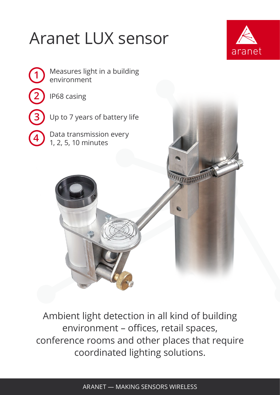## Aranet LUX sensor





Ambient light detection in all kind of building environment – offices, retail spaces, conference rooms and other places that require coordinated lighting solutions.